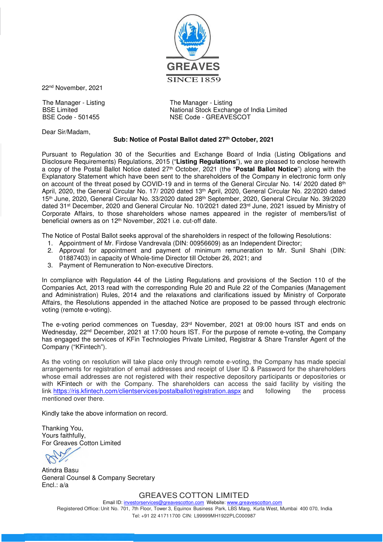

22nd November, 2021

The Manager - Listing The Manager - Listing

Dear Sir/Madam,

BSE Limited National Stock Exchange of India Limited BSE Code - 501455 NSE Code - GREAVESCOT

## **Sub: Notice of Postal Ballot dated 27th October, 2021**

Pursuant to Regulation 30 of the Securities and Exchange Board of India (Listing Obligations and Disclosure Requirements) Regulations, 2015 ("**Listing Regulations**"), we are pleased to enclose herewith a copy of the Postal Ballot Notice dated 27th October, 2021 (the "**Postal Ballot Notice**") along with the Explanatory Statement which have been sent to the shareholders of the Company in electronic form only on account of the threat posed by COVID-19 and in terms of the General Circular No. 14/ 2020 dated  $8<sup>th</sup>$ April, 2020, the General Circular No. 17/ 2020 dated 13<sup>th</sup> April, 2020, General Circular No. 22/2020 dated 15th June, 2020, General Circular No. 33/2020 dated 28th September, 2020, General Circular No. 39/2020 dated 31<sup>st</sup> December, 2020 and General Circular No. 10/2021 dated 23<sup>rd</sup> June, 2021 issued by Ministry of Corporate Affairs, to those shareholders whose names appeared in the register of members/list of beneficial owners as on 12<sup>th</sup> November, 2021 i.e. cut-off date.

The Notice of Postal Ballot seeks approval of the shareholders in respect of the following Resolutions:

- 1. Appointment of Mr. Firdose Vandrevala (DIN: 00956609) as an Independent Director;
- 2. Approval for appointment and payment of minimum remuneration to Mr. Sunil Shahi (DIN: 01887403) in capacity of Whole-time Director till October 26, 2021; and
- 3. Payment of Remuneration to Non-executive Directors.

In compliance with Regulation 44 of the Listing Regulations and provisions of the Section 110 of the Companies Act, 2013 read with the corresponding Rule 20 and Rule 22 of the Companies (Management and Administration) Rules, 2014 and the relaxations and clarifications issued by Ministry of Corporate Affairs, the Resolutions appended in the attached Notice are proposed to be passed through electronic voting (remote e-voting).

The e-voting period commences on Tuesday, 23rd November, 2021 at 09:00 hours IST and ends on Wednesday, 22<sup>nd</sup> December, 2021 at 17:00 hours IST. For the purpose of remote e-voting, the Company has engaged the services of KFin Technologies Private Limited, Registrar & Share Transfer Agent of the Company ("KFintech").

As the voting on resolution will take place only through remote e-voting, the Company has made special arrangements for registration of email addresses and receipt of User ID & Password for the shareholders whose email addresses are not registered with their respective depository participants or depositories or with KFintech or with the Company. The shareholders can access the said facility by visiting the link https://ris.kfintech.com/clientservices/postalballot/registration.aspx and following the process mentioned over there.

Kindly take the above information on record.

Thanking You, Yours faithfully, For Greaves Cotton Limited

Atindra Basu General Counsel & Company Secretary Encl.: a/a

GREAVES COTTON LIMITED

Email ID: investorservices@greavescotton.com Website: www.greavescotton.com Registered Office: Unit No. 701, 7th Floor, Tower 3, Equinox Business Park, LBS Marg, Kurla West, Mumbai 400 070, India Tel: +91 22 41711700 CIN: L99999MH1922PLC000987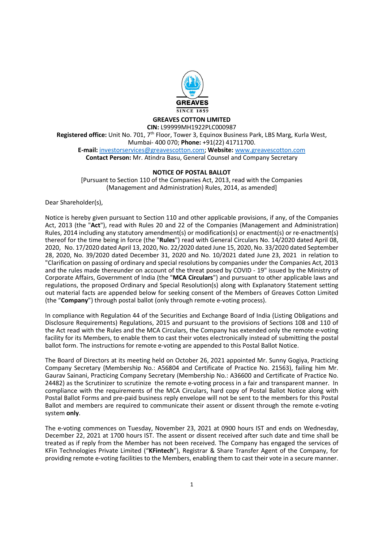

### GREAVES COTTON LIMITED

CIN: L99999MH1922PLC000987 Registered office: Unit No. 701, 7<sup>th</sup> Floor, Tower 3, Equinox Business Park, LBS Marg, Kurla West, Mumbai- 400 070; Phone: +91(22) 41711700. E-mail: investorservices@greavescotton.com; Website: www.greavescotton.com Contact Person: Mr. Atindra Basu, General Counsel and Company Secretary

## NOTICE OF POSTAL BALLOT

[Pursuant to Section 110 of the Companies Act, 2013, read with the Companies (Management and Administration) Rules, 2014, as amended]

Dear Shareholder(s),

Notice is hereby given pursuant to Section 110 and other applicable provisions, if any, of the Companies Act, 2013 (the "Act"), read with Rules 20 and 22 of the Companies (Management and Administration) Rules, 2014 including any statutory amendment(s) or modification(s) or enactment(s) or re-enactment(s) thereof for the time being in force (the "Rules") read with General Circulars No. 14/2020 dated April 08, 2020, No. 17/2020 dated April 13, 2020, No. 22/2020 dated June 15, 2020, No. 33/2020 dated September 28, 2020, No. 39/2020 dated December 31, 2020 and No. 10/2021 dated June 23, 2021 in relation to "Clarification on passing of ordinary and special resolutions by companies under the Companies Act, 2013 and the rules made thereunder on account of the threat posed by COVID - 19" issued by the Ministry of Corporate Affairs, Government of India (the "MCA Circulars") and pursuant to other applicable laws and regulations, the proposed Ordinary and Special Resolution(s) along with Explanatory Statement setting out material facts are appended below for seeking consent of the Members of Greaves Cotton Limited (the "Company") through postal ballot (only through remote e-voting process).

In compliance with Regulation 44 of the Securities and Exchange Board of India (Listing Obligations and Disclosure Requirements) Regulations, 2015 and pursuant to the provisions of Sections 108 and 110 of the Act read with the Rules and the MCA Circulars, the Company has extended only the remote e-voting facility for its Members, to enable them to cast their votes electronically instead of submitting the postal ballot form. The instructions for remote e-voting are appended to this Postal Ballot Notice.

The Board of Directors at its meeting held on October 26, 2021 appointed Mr. Sunny Gogiya, Practicing Company Secretary (Membership No.: A56804 and Certificate of Practice No. 21563), failing him Mr. Gaurav Sainani, Practicing Company Secretary (Membership No.: A36600 and Certificate of Practice No. 24482) as the Scrutinizer to scrutinize the remote e-voting process in a fair and transparent manner. In compliance with the requirements of the MCA Circulars, hard copy of Postal Ballot Notice along with Postal Ballot Forms and pre-paid business reply envelope will not be sent to the members for this Postal Ballot and members are required to communicate their assent or dissent through the remote e-voting system only.

The e-voting commences on Tuesday, November 23, 2021 at 0900 hours IST and ends on Wednesday, December 22, 2021 at 1700 hours IST. The assent or dissent received after such date and time shall be treated as if reply from the Member has not been received. The Company has engaged the services of KFin Technologies Private Limited ("KFintech"), Registrar & Share Transfer Agent of the Company, for providing remote e-voting facilities to the Members, enabling them to cast their vote in a secure manner.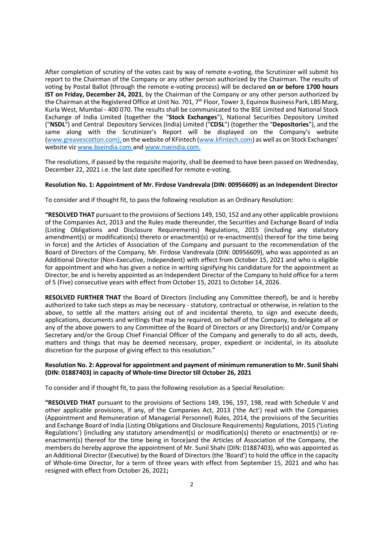After completion of scrutiny of the votes cast by way of remote e-voting, the Scrutinizer will submit his report to the Chairman of the Company or any other person authorized by the Chairman. The results of voting by Postal Ballot (through the remote e-voting process) will be declared on or before 1700 hours IST on Friday, December 24, 2021, by the Chairman of the Company or any other person authorized by the Chairman at the Registered Office at Unit No. 701, 7<sup>th</sup> Floor, Tower 3, Equinox Business Park, LBS Marg, Kurla West, Mumbai - 400 070. The results shall be communicated to the BSE Limited and National Stock Exchange of India Limited (together the "Stock Exchanges"), National Securities Depository Limited ("NSDL") and Central Depository Services (India) Limited ("CDSL") (together the "Depositories"), and the same along with the Scrutinizer's Report will be displayed on the Company's website (www.greavescotton.com), on the website of KFintech (www.kfintech.com) as well as on Stock Exchanges' website viz www.bseindia.com and www.nseindia.com.

The resolutions, if passed by the requisite majority, shall be deemed to have been passed on Wednesday, December 22, 2021 i.e. the last date specified for remote e-voting.

### Resolution No. 1: Appointment of Mr. Firdose Vandrevala (DIN: 00956609) as an Independent Director

To consider and if thought fit, to pass the following resolution as an Ordinary Resolution:

"RESOLVED THAT pursuant to the provisions of Sections 149, 150, 152 and any other applicable provisions of the Companies Act, 2013 and the Rules made thereunder, the Securities and Exchange Board of India (Listing Obligations and Disclosure Requirements) Regulations, 2015 (including any statutory amendment(s) or modification(s) thereto or enactment(s) or re-enactment(s) thereof for the time being in force) and the Articles of Association of the Company and pursuant to the recommendation of the Board of Directors of the Company, Mr. Firdose Vandrevala (DIN: 00956609), who was appointed as an Additional Director (Non-Executive, Independent) with effect from October 15, 2021 and who is eligible for appointment and who has given a notice in writing signifying his candidature for the appointment as Director, be and is hereby appointed as an Independent Director of the Company to hold office for a term of 5 (Five) consecutive years with effect from October 15, 2021 to October 14, 2026.

RESOLVED FURTHER THAT the Board of Directors (including any Committee thereof), be and is hereby authorized to take such steps as may be necessary - statutory, contractual or otherwise, in relation to the above, to settle all the matters arising out of and incidental thereto, to sign and execute deeds, applications, documents and writings that may be required, on behalf of the Company, to delegate all or any of the above powers to any Committee of the Board of Directors or any Director(s) and/or Company Secretary and/or the Group Chief Financial Officer of the Company and generally to do all acts, deeds, matters and things that may be deemed necessary, proper, expedient or incidental, in its absolute discretion for the purpose of giving effect to this resolution."

## Resolution No. 2: Approval for appointment and payment of minimum remuneration to Mr. Sunil Shahi (DIN: 01887403) in capacity of Whole-time Director till October 26, 2021

To consider and if thought fit, to pass the following resolution as a Special Resolution:

"RESOLVED THAT pursuant to the provisions of Sections 149, 196, 197, 198, read with Schedule V and other applicable provisions, if any, of the Companies Act, 2013 ('the Act') read with the Companies (Appointment and Remuneration of Managerial Personnel) Rules, 2014, the provisions of the Securities and Exchange Board of India (Listing Obligations and Disclosure Requirements) Regulations, 2015 ('Listing Regulations') (including any statutory amendment(s) or modification(s) thereto or enactment(s) or reenactment(s) thereof for the time being in force)and the Articles of Association of the Company, the members do hereby approve the appointment of Mr. Sunil Shahi (DIN: 01887403), who was appointed as an Additional Director (Executive) by the Board of Directors (the 'Board') to hold the office in the capacity of Whole-time Director, for a term of three years with effect from September 15, 2021 and who has resigned with effect from October 26, 2021;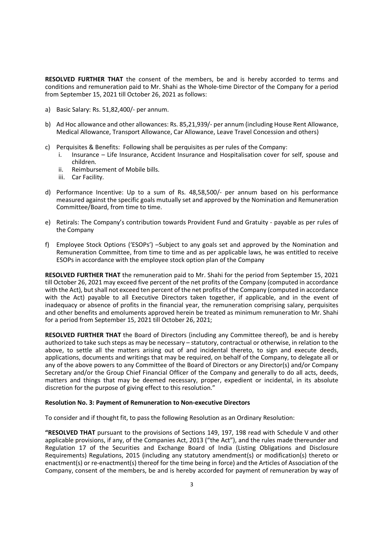RESOLVED FURTHER THAT the consent of the members, be and is hereby accorded to terms and conditions and remuneration paid to Mr. Shahi as the Whole-time Director of the Company for a period from September 15, 2021 till October 26, 2021 as follows:

- a) Basic Salary: Rs. 51,82,400/- per annum.
- b) Ad Hoc allowance and other allowances: Rs. 85,21,939/- per annum (including House Rent Allowance, Medical Allowance, Transport Allowance, Car Allowance, Leave Travel Concession and others)
- c) Perquisites & Benefits: Following shall be perquisites as per rules of the Company:
	- i. Insurance Life Insurance, Accident Insurance and Hospitalisation cover for self, spouse and children.
	- ii. Reimbursement of Mobile bills.
	- iii. Car Facility.
- d) Performance Incentive: Up to a sum of Rs. 48,58,500/- per annum based on his performance measured against the specific goals mutually set and approved by the Nomination and Remuneration Committee/Board, from time to time.
- e) Retirals: The Company's contribution towards Provident Fund and Gratuity payable as per rules of the Company
- f) Employee Stock Options ('ESOPs') –Subject to any goals set and approved by the Nomination and Remuneration Committee, from time to time and as per applicable laws, he was entitled to receive ESOPs in accordance with the employee stock option plan of the Company

RESOLVED FURTHER THAT the remuneration paid to Mr. Shahi for the period from September 15, 2021 till October 26, 2021 may exceed five percent of the net profits of the Company (computed in accordance with the Act), but shall not exceed ten percent of the net profits of the Company (computed in accordance with the Act) payable to all Executive Directors taken together, if applicable, and in the event of inadequacy or absence of profits in the financial year, the remuneration comprising salary, perquisites and other benefits and emoluments approved herein be treated as minimum remuneration to Mr. Shahi for a period from September 15, 2021 till October 26, 2021;

RESOLVED FURTHER THAT the Board of Directors (including any Committee thereof), be and is hereby authorized to take such steps as may be necessary – statutory, contractual or otherwise, in relation to the above, to settle all the matters arising out of and incidental thereto, to sign and execute deeds, applications, documents and writings that may be required, on behalf of the Company, to delegate all or any of the above powers to any Committee of the Board of Directors or any Director(s) and/or Company Secretary and/or the Group Chief Financial Officer of the Company and generally to do all acts, deeds, matters and things that may be deemed necessary, proper, expedient or incidental, in its absolute discretion for the purpose of giving effect to this resolution."

#### Resolution No. 3: Payment of Remuneration to Non-executive Directors

To consider and if thought fit, to pass the following Resolution as an Ordinary Resolution:

"RESOLVED THAT pursuant to the provisions of Sections 149, 197, 198 read with Schedule V and other applicable provisions, if any, of the Companies Act, 2013 ("the Act"), and the rules made thereunder and Regulation 17 of the Securities and Exchange Board of India (Listing Obligations and Disclosure Requirements) Regulations, 2015 (including any statutory amendment(s) or modification(s) thereto or enactment(s) or re-enactment(s) thereof for the time being in force) and the Articles of Association of the Company, consent of the members, be and is hereby accorded for payment of remuneration by way of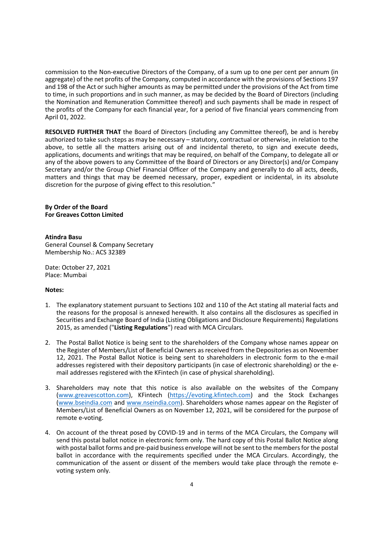commission to the Non-executive Directors of the Company, of a sum up to one per cent per annum (in aggregate) of the net profits of the Company, computed in accordance with the provisions of Sections 197 and 198 of the Act or such higher amounts as may be permitted under the provisions of the Act from time to time, in such proportions and in such manner, as may be decided by the Board of Directors (including the Nomination and Remuneration Committee thereof) and such payments shall be made in respect of the profits of the Company for each financial year, for a period of five financial years commencing from April 01, 2022.

RESOLVED FURTHER THAT the Board of Directors (including any Committee thereof), be and is hereby authorized to take such steps as may be necessary – statutory, contractual or otherwise, in relation to the above, to settle all the matters arising out of and incidental thereto, to sign and execute deeds, applications, documents and writings that may be required, on behalf of the Company, to delegate all or any of the above powers to any Committee of the Board of Directors or any Director(s) and/or Company Secretary and/or the Group Chief Financial Officer of the Company and generally to do all acts, deeds, matters and things that may be deemed necessary, proper, expedient or incidental, in its absolute discretion for the purpose of giving effect to this resolution."

## By Order of the Board For Greaves Cotton Limited

#### Atindra Basu

General Counsel & Company Secretary Membership No.: ACS 32389

Date: October 27, 2021 Place: Mumbai

#### Notes:

- 1. The explanatory statement pursuant to Sections 102 and 110 of the Act stating all material facts and the reasons for the proposal is annexed herewith. It also contains all the disclosures as specified in Securities and Exchange Board of India (Listing Obligations and Disclosure Requirements) Regulations 2015, as amended ("Listing Regulations") read with MCA Circulars.
- 2. The Postal Ballot Notice is being sent to the shareholders of the Company whose names appear on the Register of Members/List of Beneficial Owners as received from the Depositories as on November 12, 2021. The Postal Ballot Notice is being sent to shareholders in electronic form to the e-mail addresses registered with their depository participants (in case of electronic shareholding) or the email addresses registered with the KFintech (in case of physical shareholding).
- 3. Shareholders may note that this notice is also available on the websites of the Company (www.greavescotton.com), KFintech (https://evoting.kfintech.com) and the Stock Exchanges (www.bseindia.com and www.nseindia.com). Shareholders whose names appear on the Register of Members/List of Beneficial Owners as on November 12, 2021, will be considered for the purpose of remote e-voting.
- 4. On account of the threat posed by COVID-19 and in terms of the MCA Circulars, the Company will send this postal ballot notice in electronic form only. The hard copy of this Postal Ballot Notice along with postal ballot forms and pre-paid business envelope will not be sent to the members for the postal ballot in accordance with the requirements specified under the MCA Circulars. Accordingly, the communication of the assent or dissent of the members would take place through the remote evoting system only.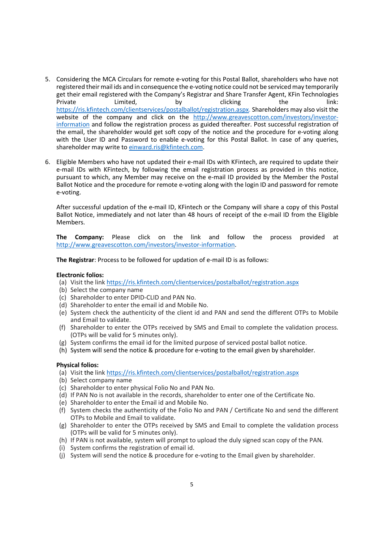- 5. Considering the MCA Circulars for remote e-voting for this Postal Ballot, shareholders who have not registered their mail ids and in consequence the e-voting notice could not be serviced may temporarily get their email registered with the Company's Registrar and Share Transfer Agent, KFin Technologies Private Committed, the limited, by clicking the the link: https://ris.kfintech.com/clientservices/postalballot/registration.aspx. Shareholders may also visit the website of the company and click on the http://www.greavescotton.com/investors/investorinformation and follow the registration process as guided thereafter. Post successful registration of the email, the shareholder would get soft copy of the notice and the procedure for e-voting along with the User ID and Password to enable e-voting for this Postal Ballot. In case of any queries, shareholder may write to einward.ris@kfintech.com.
- 6. Eligible Members who have not updated their e-mail IDs with KFintech, are required to update their e-mail IDs with KFintech, by following the email registration process as provided in this notice, pursuant to which, any Member may receive on the e-mail ID provided by the Member the Postal Ballot Notice and the procedure for remote e-voting along with the login ID and password for remote e-voting.

After successful updation of the e-mail ID, KFintech or the Company will share a copy of this Postal Ballot Notice, immediately and not later than 48 hours of receipt of the e-mail ID from the Eligible Members.

The Company: Please click on the link and follow the process provided at http://www.greavescotton.com/investors/investor-information.

The Registrar: Process to be followed for updation of e-mail ID is as follows:

## Electronic folios:

- (a) Visit the link https://ris.kfintech.com/clientservices/postalballot/registration.aspx
- (b) Select the company name
- (c) Shareholder to enter DPID-CLID and PAN No.
- (d) Shareholder to enter the email id and Mobile No.
- (e) System check the authenticity of the client id and PAN and send the different OTPs to Mobile and Email to validate.
- (f) Shareholder to enter the OTPs received by SMS and Email to complete the validation process. (OTPs will be valid for 5 minutes only).
- (g) System confirms the email id for the limited purpose of serviced postal ballot notice.
- (h) System will send the notice & procedure for e-voting to the email given by shareholder.

## Physical folios:

- (a) Visit the link https://ris.kfintech.com/clientservices/postalballot/registration.aspx
- (b) Select company name
- (c) Shareholder to enter physical Folio No and PAN No.
- (d) If PAN No is not available in the records, shareholder to enter one of the Certificate No.
- (e) Shareholder to enter the Email id and Mobile No.
- (f) System checks the authenticity of the Folio No and PAN / Certificate No and send the different OTPs to Mobile and Email to validate.
- (g) Shareholder to enter the OTPs received by SMS and Email to complete the validation process (OTPs will be valid for 5 minutes only).
- (h) If PAN is not available, system will prompt to upload the duly signed scan copy of the PAN.
- (i) System confirms the registration of email id.
- (j) System will send the notice & procedure for e-voting to the Email given by shareholder.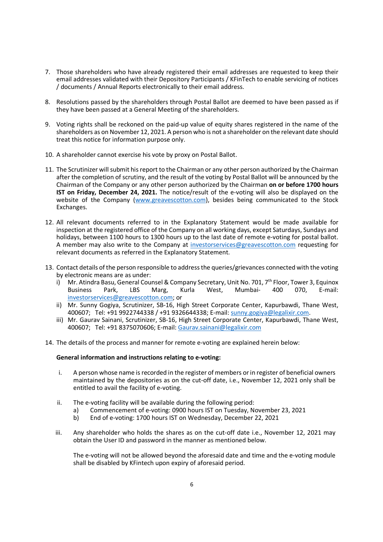- 7. Those shareholders who have already registered their email addresses are requested to keep their email addresses validated with their Depository Participants / KFinTech to enable servicing of notices / documents / Annual Reports electronically to their email address.
- 8. Resolutions passed by the shareholders through Postal Ballot are deemed to have been passed as if they have been passed at a General Meeting of the shareholders.
- 9. Voting rights shall be reckoned on the paid-up value of equity shares registered in the name of the shareholders as on November 12, 2021. A person who is not a shareholder on the relevant date should treat this notice for information purpose only.
- 10. A shareholder cannot exercise his vote by proxy on Postal Ballot.
- 11. The Scrutinizer will submit his report to the Chairman or any other person authorized by the Chairman after the completion of scrutiny, and the result of the voting by Postal Ballot will be announced by the Chairman of the Company or any other person authorized by the Chairman on or before 1700 hours IST on Friday, December 24, 2021. The notice/result of the e-voting will also be displayed on the website of the Company (www.greavescotton.com), besides being communicated to the Stock Exchanges.
- 12. All relevant documents referred to in the Explanatory Statement would be made available for inspection at the registered office of the Company on all working days, except Saturdays, Sundays and holidays, between 1100 hours to 1300 hours up to the last date of remote e-voting for postal ballot. A member may also write to the Company at investorservices@greavescotton.com requesting for relevant documents as referred in the Explanatory Statement.
- 13. Contact details of the person responsible to address the queries/grievances connected with the voting by electronic means are as under:
	- i) Mr. Atindra Basu, General Counsel & Company Secretary, Unit No. 701, 7<sup>th</sup> Floor, Tower 3, Equinox<br>Business Park. LBS Marg. Kurla West, Mumbai- 400 070, E-mail: Business Park, LBS Marg, Kurla West, Mumbai- 400 070, E-mail: investorservices@greavescotton.com; or
	- ii) Mr. Sunny Gogiya, Scrutinizer, SB-16, High Street Corporate Center, Kapurbawdi, Thane West, 400607; Tel: +91 9922744338 / +91 9326644338; E-mail: sunny.gogiya@legalixir.com.
	- iii) Mr. Gaurav Sainani, Scrutinizer, SB-16, High Street Corporate Center, Kapurbawdi, Thane West, 400607; Tel: +91 8375070606; E-mail: Gaurav.sainani@legalixir.com
- 14. The details of the process and manner for remote e-voting are explained herein below:

#### General information and instructions relating to e-voting:

- i. A person whose name is recorded in the register of members or in register of beneficial owners maintained by the depositories as on the cut-off date, i.e., November 12, 2021 only shall be entitled to avail the facility of e-voting.
- ii. The e-voting facility will be available during the following period:
	- a) Commencement of e-voting: 0900 hours IST on Tuesday, November 23, 2021
	- b) End of e-voting: 1700 hours IST on Wednesday, December 22, 2021
- iii. Any shareholder who holds the shares as on the cut-off date i.e., November 12, 2021 may obtain the User ID and password in the manner as mentioned below.

The e-voting will not be allowed beyond the aforesaid date and time and the e-voting module shall be disabled by KFintech upon expiry of aforesaid period.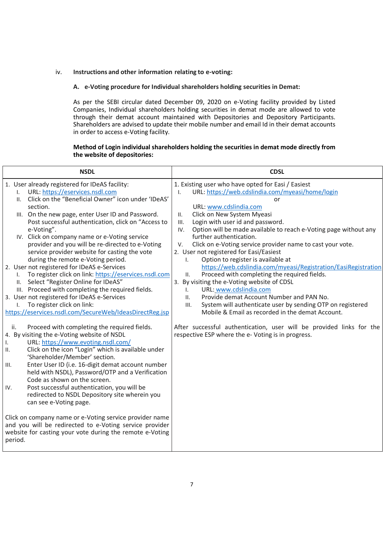### iv. Instructions and other information relating to e-voting:

### A. e-Voting procedure for Individual shareholders holding securities in Demat:

As per the SEBI circular dated December 09, 2020 on e-Voting facility provided by Listed Companies, Individual shareholders holding securities in demat mode are allowed to vote through their demat account maintained with Depositories and Depository Participants. Shareholders are advised to update their mobile number and email Id in their demat accounts in order to access e-Voting facility.

## Method of Login individual shareholders holding the securities in demat mode directly from the website of depositories:

| <b>NSDL</b>                                                                                                                                                                                                                                                                                                                                                                                                                                                                                                                                                                                                                                                                                                                                                                                                                                                                                                                                                                                                                                                                                                                                                                                                                                                                                                                                                                                                                                                                                                                                                                                                   | <b>CDSL</b>                                                                                                                                                                                                                                                                                                                                                                                                                                                                                                                                                                                                                                                                                                                                                                                                                                                                                                                                                                                                                 |
|---------------------------------------------------------------------------------------------------------------------------------------------------------------------------------------------------------------------------------------------------------------------------------------------------------------------------------------------------------------------------------------------------------------------------------------------------------------------------------------------------------------------------------------------------------------------------------------------------------------------------------------------------------------------------------------------------------------------------------------------------------------------------------------------------------------------------------------------------------------------------------------------------------------------------------------------------------------------------------------------------------------------------------------------------------------------------------------------------------------------------------------------------------------------------------------------------------------------------------------------------------------------------------------------------------------------------------------------------------------------------------------------------------------------------------------------------------------------------------------------------------------------------------------------------------------------------------------------------------------|-----------------------------------------------------------------------------------------------------------------------------------------------------------------------------------------------------------------------------------------------------------------------------------------------------------------------------------------------------------------------------------------------------------------------------------------------------------------------------------------------------------------------------------------------------------------------------------------------------------------------------------------------------------------------------------------------------------------------------------------------------------------------------------------------------------------------------------------------------------------------------------------------------------------------------------------------------------------------------------------------------------------------------|
| 1. User already registered for IDeAS facility:<br>URL: https://eservices.nsdl.com<br>$\mathbf{L}$<br>II. Click on the "Beneficial Owner" icon under 'IDeAS'<br>section.<br>III. On the new page, enter User ID and Password.<br>Post successful authentication, click on "Access to<br>e-Voting".<br>IV. Click on company name or e-Voting service<br>provider and you will be re-directed to e-Voting<br>service provider website for casting the vote<br>during the remote e-Voting period.<br>2. User not registered for IDeAS e-Services<br>To register click on link: https://eservices.nsdl.com<br>$\mathbf{L}$<br>II. Select "Register Online for IDeAS"<br>III. Proceed with completing the required fields.<br>3. User not registered for IDeAS e-Services<br>To register click on link:<br>$\mathbf{I}$ .<br>https://eservices.nsdl.com/SecureWeb/IdeasDirectReg.jsp<br>Proceed with completing the required fields.<br>ii.<br>4. By visiting the e-Voting website of NSDL<br>URL: https://www.evoting.nsdl.com/<br>Ι.<br>Click on the icon "Login" which is available under<br>Ш.<br>'Shareholder/Member' section.<br>Enter User ID (i.e. 16-digit demat account number<br>III.<br>held with NSDL), Password/OTP and a Verification<br>Code as shown on the screen.<br>Post successful authentication, you will be<br>IV.<br>redirected to NSDL Depository site wherein you<br>can see e-Voting page.<br>Click on company name or e-Voting service provider name<br>and you will be redirected to e-Voting service provider<br>website for casting your vote during the remote e-Voting<br>period. | 1. Existing user who have opted for Easi / Easiest<br>URL: https://web.cdslindia.com/myeasi/home/login<br>Ι.<br>or<br>URL: www.cdslindia.com<br>Click on New System Myeasi<br>II.<br>Login with user id and password.<br>III.<br>Option will be made available to reach e-Voting page without any<br>IV.<br>further authentication.<br>Click on e-Voting service provider name to cast your vote.<br>V.<br>2. User not registered for Easi/Easiest<br>Option to register is available at<br>I.<br>https://web.cdslindia.com/myeasi/Registration/EasiRegistration<br>Proceed with completing the required fields.<br>II.<br>3. By visiting the e-Voting website of CDSL<br>URL: www.cdslindia.com<br>$\mathsf{L}$<br>Provide demat Account Number and PAN No.<br>II.<br>System will authenticate user by sending OTP on registered<br>III.<br>Mobile & Email as recorded in the demat Account.<br>After successful authentication, user will be provided links for the<br>respective ESP where the e- Voting is in progress. |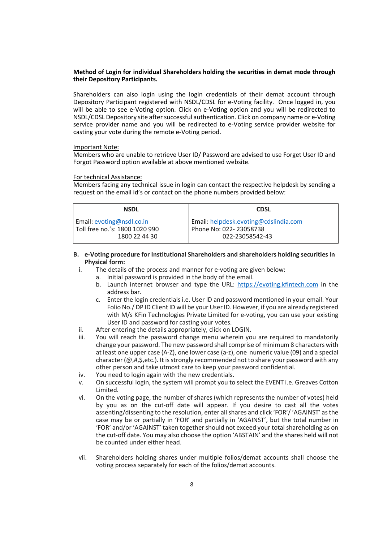#### Method of Login for individual Shareholders holding the securities in demat mode through their Depository Participants.

Shareholders can also login using the login credentials of their demat account through Depository Participant registered with NSDL/CDSL for e-Voting facility. Once logged in, you will be able to see e-Voting option. Click on e-Voting option and you will be redirected to NSDL/CDSL Depository site after successful authentication. Click on company name or e-Voting service provider name and you will be redirected to e-Voting service provider website for casting your vote during the remote e-Voting period.

#### Important Note:

Members who are unable to retrieve User ID/ Password are advised to use Forget User ID and Forgot Password option available at above mentioned website.

#### For technical Assistance:

Members facing any technical issue in login can contact the respective helpdesk by sending a request on the email id's or contact on the phone numbers provided below:

| <b>NSDL</b>                    | <b>CDSL</b>                           |
|--------------------------------|---------------------------------------|
| Email: evoting@nsdl.co.in      | Email: helpdesk.evoting@cdslindia.com |
| Toll free no.'s: 1800 1020 990 | Phone No: 022-23058738                |
| 1800 22 44 30                  | 022-23058542-43                       |

#### B. e-Voting procedure for Institutional Shareholders and shareholders holding securities in Physical form:

- i. The details of the process and manner for e-voting are given below:
	- a. Initial password is provided in the body of the email.
		- b. Launch internet browser and type the URL: https://evoting.kfintech.com in the address bar.
		- c. Enter the login credentials i.e. User ID and password mentioned in your email. Your Folio No./ DP ID Client ID will be your User ID. However, if you are already registered with M/s KFin Technologies Private Limited for e-voting, you can use your existing User ID and password for casting your votes.
- ii. After entering the details appropriately, click on LOGIN.
- iii. You will reach the password change menu wherein you are required to mandatorily change your password. The new password shall comprise of minimum 8 characters with at least one upper case (A-Z), one lower case (a-z), one numeric value (09) and a special character (@,#,\$,etc.). It is strongly recommended not to share your password with any other person and take utmost care to keep your password confidential.
- iv. You need to login again with the new credentials.
- v. On successful login, the system will prompt you to select the EVENT i.e. Greaves Cotton Limited.
- vi. On the voting page, the number of shares (which represents the number of votes) held by you as on the cut-off date will appear. If you desire to cast all the votes assenting/dissenting to the resolution, enter all shares and click 'FOR'/ 'AGAINST' as the case may be or partially in 'FOR' and partially in 'AGAINST', but the total number in 'FOR' and/or 'AGAINST' taken together should not exceed your total shareholding as on the cut-off date. You may also choose the option 'ABSTAIN' and the shares held will not be counted under either head.
- vii. Shareholders holding shares under multiple folios/demat accounts shall choose the voting process separately for each of the folios/demat accounts.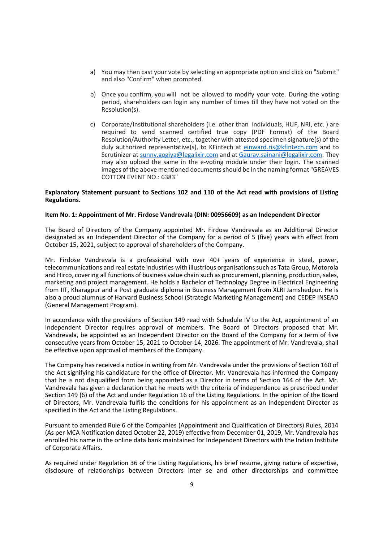- a) You may then cast your vote by selecting an appropriate option and click on "Submit" and also "Confirm" when prompted.
- b) Once you confirm, you will not be allowed to modify your vote. During the voting period, shareholders can login any number of times till they have not voted on the Resolution(s).
- c) Corporate/Institutional shareholders (i.e. other than individuals, HUF, NRI, etc. ) are required to send scanned certified true copy (PDF Format) of the Board Resolution/Authority Letter, etc., together with attested specimen signature(s) of the duly authorized representative(s), to KFintech at einward.ris@kfintech.com and to Scrutinizer at sunny.gogiya@legalixir.com and at Gaurav.sainani@legalixir.com. They may also upload the same in the e-voting module under their login. The scanned images of the above mentioned documents should be in the naming format "GREAVES COTTON EVENT NO.: 6383"

## Explanatory Statement pursuant to Sections 102 and 110 of the Act read with provisions of Listing Regulations.

## Item No. 1: Appointment of Mr. Firdose Vandrevala (DIN: 00956609) as an Independent Director

The Board of Directors of the Company appointed Mr. Firdose Vandrevala as an Additional Director designated as an Independent Director of the Company for a period of 5 (five) years with effect from October 15, 2021, subject to approval of shareholders of the Company.

Mr. Firdose Vandrevala is a professional with over 40+ years of experience in steel, power, telecommunications and real estate industries with illustrious organisations such as Tata Group, Motorola and Hirco, covering all functions of business value chain such as procurement, planning, production, sales, marketing and project management. He holds a Bachelor of Technology Degree in Electrical Engineering from IIT, Kharagpur and a Post graduate diploma in Business Management from XLRI Jamshedpur. He is also a proud alumnus of Harvard Business School (Strategic Marketing Management) and CEDEP INSEAD (General Management Program).

In accordance with the provisions of Section 149 read with Schedule IV to the Act, appointment of an Independent Director requires approval of members. The Board of Directors proposed that Mr. Vandrevala, be appointed as an Independent Director on the Board of the Company for a term of five consecutive years from October 15, 2021 to October 14, 2026. The appointment of Mr. Vandrevala, shall be effective upon approval of members of the Company.

The Company has received a notice in writing from Mr. Vandrevala under the provisions of Section 160 of the Act signifying his candidature for the office of Director. Mr. Vandrevala has informed the Company that he is not disqualified from being appointed as a Director in terms of Section 164 of the Act. Mr. Vandrevala has given a declaration that he meets with the criteria of independence as prescribed under Section 149 (6) of the Act and under Regulation 16 of the Listing Regulations. In the opinion of the Board of Directors, Mr. Vandrevala fulfils the conditions for his appointment as an Independent Director as specified in the Act and the Listing Regulations.

Pursuant to amended Rule 6 of the Companies (Appointment and Qualification of Directors) Rules, 2014 (As per MCA Notification dated October 22, 2019) effective from December 01, 2019, Mr. Vandrevala has enrolled his name in the online data bank maintained for Independent Directors with the Indian Institute of Corporate Affairs.

As required under Regulation 36 of the Listing Regulations, his brief resume, giving nature of expertise, disclosure of relationships between Directors inter se and other directorships and committee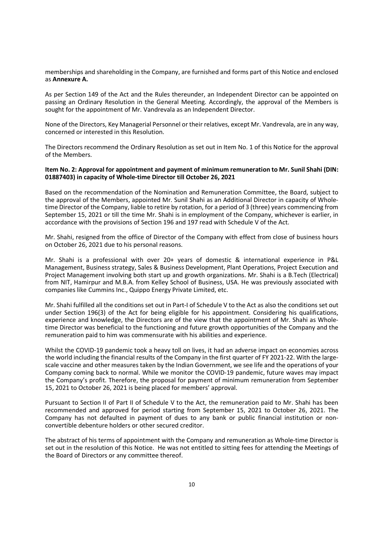memberships and shareholding in the Company, are furnished and forms part of this Notice and enclosed as Annexure A.

As per Section 149 of the Act and the Rules thereunder, an Independent Director can be appointed on passing an Ordinary Resolution in the General Meeting. Accordingly, the approval of the Members is sought for the appointment of Mr. Vandrevala as an Independent Director.

None of the Directors, Key Managerial Personnel or their relatives, except Mr. Vandrevala, are in any way, concerned or interested in this Resolution.

The Directors recommend the Ordinary Resolution as set out in Item No. 1 of this Notice for the approval of the Members.

#### Item No. 2: Approval for appointment and payment of minimum remuneration to Mr. Sunil Shahi (DIN: 01887403) in capacity of Whole-time Director till October 26, 2021

Based on the recommendation of the Nomination and Remuneration Committee, the Board, subject to the approval of the Members, appointed Mr. Sunil Shahi as an Additional Director in capacity of Wholetime Director of the Company, liable to retire by rotation, for a period of 3 (three) years commencing from September 15, 2021 or till the time Mr. Shahi is in employment of the Company, whichever is earlier, in accordance with the provisions of Section 196 and 197 read with Schedule V of the Act.

Mr. Shahi, resigned from the office of Director of the Company with effect from close of business hours on October 26, 2021 due to his personal reasons.

Mr. Shahi is a professional with over 20+ years of domestic & international experience in P&L Management, Business strategy, Sales & Business Development, Plant Operations, Project Execution and Project Management involving both start up and growth organizations. Mr. Shahi is a B.Tech (Electrical) from NIT, Hamirpur and M.B.A. from Kelley School of Business, USA. He was previously associated with companies like Cummins Inc., Quippo Energy Private Limited, etc.

Mr. Shahi fulfilled all the conditions set out in Part-I of Schedule V to the Act as also the conditions set out under Section 196(3) of the Act for being eligible for his appointment. Considering his qualifications, experience and knowledge, the Directors are of the view that the appointment of Mr. Shahi as Wholetime Director was beneficial to the functioning and future growth opportunities of the Company and the remuneration paid to him was commensurate with his abilities and experience.

Whilst the COVID-19 pandemic took a heavy toll on lives, it had an adverse impact on economies across the world including the financial results of the Company in the first quarter of FY 2021-22. With the largescale vaccine and other measures taken by the Indian Government, we see life and the operations of your Company coming back to normal. While we monitor the COVID-19 pandemic, future waves may impact the Company's profit. Therefore, the proposal for payment of minimum remuneration from September 15, 2021 to October 26, 2021 is being placed for members' approval.

Pursuant to Section II of Part II of Schedule V to the Act, the remuneration paid to Mr. Shahi has been recommended and approved for period starting from September 15, 2021 to October 26, 2021. The Company has not defaulted in payment of dues to any bank or public financial institution or nonconvertible debenture holders or other secured creditor.

The abstract of his terms of appointment with the Company and remuneration as Whole-time Director is set out in the resolution of this Notice. He was not entitled to sitting fees for attending the Meetings of the Board of Directors or any committee thereof.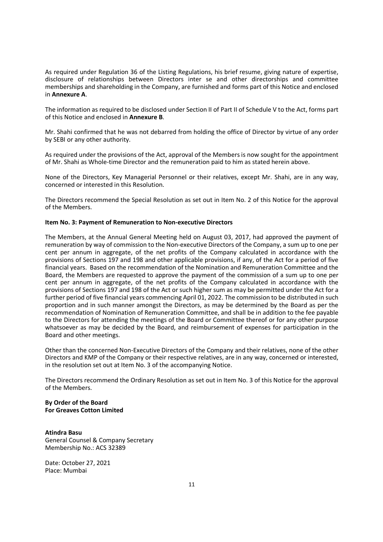As required under Regulation 36 of the Listing Regulations, his brief resume, giving nature of expertise, disclosure of relationships between Directors inter se and other directorships and committee memberships and shareholding in the Company, are furnished and forms part of this Notice and enclosed in Annexure A.

The information as required to be disclosed under Section II of Part II of Schedule V to the Act, forms part of this Notice and enclosed in Annexure B.

Mr. Shahi confirmed that he was not debarred from holding the office of Director by virtue of any order by SEBI or any other authority.

As required under the provisions of the Act, approval of the Members is now sought for the appointment of Mr. Shahi as Whole-time Director and the remuneration paid to him as stated herein above.

None of the Directors, Key Managerial Personnel or their relatives, except Mr. Shahi, are in any way, concerned or interested in this Resolution.

The Directors recommend the Special Resolution as set out in Item No. 2 of this Notice for the approval of the Members.

## Item No. 3: Payment of Remuneration to Non-executive Directors

The Members, at the Annual General Meeting held on August 03, 2017, had approved the payment of remuneration by way of commission to the Non-executive Directors of the Company, a sum up to one per cent per annum in aggregate, of the net profits of the Company calculated in accordance with the provisions of Sections 197 and 198 and other applicable provisions, if any, of the Act for a period of five financial years. Based on the recommendation of the Nomination and Remuneration Committee and the Board, the Members are requested to approve the payment of the commission of a sum up to one per cent per annum in aggregate, of the net profits of the Company calculated in accordance with the provisions of Sections 197 and 198 of the Act or such higher sum as may be permitted under the Act for a further period of five financial years commencing April 01, 2022. The commission to be distributed in such proportion and in such manner amongst the Directors, as may be determined by the Board as per the recommendation of Nomination of Remuneration Committee, and shall be in addition to the fee payable to the Directors for attending the meetings of the Board or Committee thereof or for any other purpose whatsoever as may be decided by the Board, and reimbursement of expenses for participation in the Board and other meetings.

Other than the concerned Non-Executive Directors of the Company and their relatives, none of the other Directors and KMP of the Company or their respective relatives, are in any way, concerned or interested, in the resolution set out at Item No. 3 of the accompanying Notice.

The Directors recommend the Ordinary Resolution as set out in Item No. 3 of this Notice for the approval of the Members.

#### By Order of the Board For Greaves Cotton Limited

Atindra Basu General Counsel & Company Secretary Membership No.: ACS 32389

Date: October 27, 2021 Place: Mumbai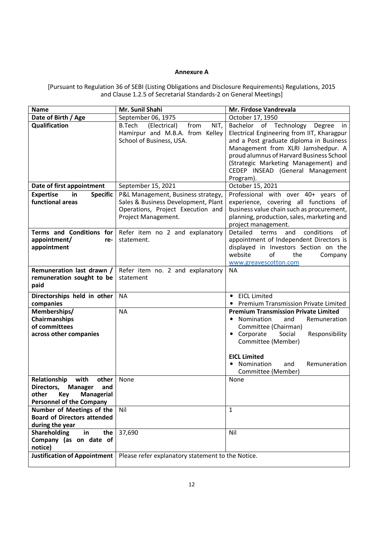#### Annexure A

[Pursuant to Regulation 36 of SEBI (Listing Obligations and Disclosure Requirements) Regulations, 2015 and Clause 1.2.5 of Secretarial Standards-2 on General Meetings]

| Name                                                                 | Mr. Sunil Shahi                                   | Mr. Firdose Vandrevala                                                           |  |
|----------------------------------------------------------------------|---------------------------------------------------|----------------------------------------------------------------------------------|--|
| Date of Birth / Age                                                  | September 06, 1975<br>October 17, 1950            |                                                                                  |  |
| Qualification                                                        | <b>B.Tech</b><br>(Electrical)<br>from<br>NIT,     | Bachelor of Technology<br>Degree<br>in                                           |  |
|                                                                      | Hamirpur and M.B.A. from Kelley                   | Electrical Engineering from IIT, Kharagpur                                       |  |
|                                                                      | School of Business, USA.                          | and a Post graduate diploma in Business                                          |  |
|                                                                      |                                                   | Management from XLRI Jamshedpur. A                                               |  |
|                                                                      |                                                   | proud alumnus of Harvard Business School<br>(Strategic Marketing Management) and |  |
|                                                                      |                                                   | CEDEP INSEAD (General Management                                                 |  |
|                                                                      |                                                   | Program).                                                                        |  |
| Date of first appointment                                            | September 15, 2021                                | October 15, 2021                                                                 |  |
| <b>Expertise</b><br><b>Specific</b><br>in                            | P&L Management, Business strategy,                | Professional with over 40+ years of                                              |  |
| functional areas                                                     | Sales & Business Development, Plant               | experience, covering all functions of                                            |  |
|                                                                      | Operations, Project Execution and                 | business value chain such as procurement,                                        |  |
|                                                                      | Project Management.                               | planning, production, sales, marketing and                                       |  |
|                                                                      |                                                   | project management.                                                              |  |
| Terms and Conditions for                                             | Refer item no 2 and explanatory                   | Detailed<br>terms<br>of<br>conditions<br>and                                     |  |
| appointment/<br>re-                                                  | statement.                                        | appointment of Independent Directors is                                          |  |
| appointment                                                          |                                                   | displayed in Investors Section on the                                            |  |
|                                                                      |                                                   | website<br>of<br>the<br>Company                                                  |  |
| Remuneration last drawn /                                            |                                                   | www.greavescotton.com<br><b>NA</b>                                               |  |
| remuneration sought to be                                            | Refer item no. 2 and explanatory<br>statement     |                                                                                  |  |
| paid                                                                 |                                                   |                                                                                  |  |
|                                                                      | <b>NA</b>                                         | <b>EICL Limited</b><br>$\bullet$                                                 |  |
| Directorships held in other<br>companies                             |                                                   | • Premium Transmission Private Limited                                           |  |
| Memberships/                                                         | <b>NA</b>                                         | <b>Premium Transmission Private Limited</b>                                      |  |
| Chairmanships                                                        |                                                   | Nomination<br>and<br>Remuneration<br>٠                                           |  |
| of committees                                                        |                                                   | Committee (Chairman)                                                             |  |
| across other companies                                               |                                                   | • Corporate<br>Social<br>Responsibility                                          |  |
|                                                                      |                                                   | Committee (Member)                                                               |  |
|                                                                      |                                                   |                                                                                  |  |
|                                                                      |                                                   | <b>EICL Limited</b>                                                              |  |
|                                                                      |                                                   | Nomination<br>Remuneration<br>and                                                |  |
|                                                                      |                                                   | Committee (Member)                                                               |  |
| Relationship<br>with<br>other<br>Directors,<br><b>Manager</b><br>and | None                                              | None                                                                             |  |
| other<br>Key<br><b>Managerial</b>                                    |                                                   |                                                                                  |  |
| <b>Personnel of the Company</b>                                      |                                                   |                                                                                  |  |
| Number of Meetings of the                                            | Nil                                               | $\mathbf{1}$                                                                     |  |
| <b>Board of Directors attended</b>                                   |                                                   |                                                                                  |  |
| during the year                                                      |                                                   |                                                                                  |  |
| <b>Shareholding</b><br>in<br>the                                     | 37,690                                            | Nil                                                                              |  |
| Company (as on date of                                               |                                                   |                                                                                  |  |
| notice)                                                              |                                                   |                                                                                  |  |
| <b>Justification of Appointment</b>                                  | Please refer explanatory statement to the Notice. |                                                                                  |  |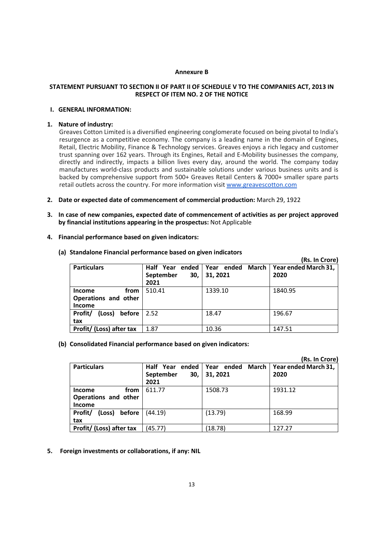#### Annexure B

## STATEMENT PURSUANT TO SECTION II OF PART II OF SCHEDULE V TO THE COMPANIES ACT, 2013 IN RESPECT OF ITEM NO. 2 OF THE NOTICE

## I. GENERAL INFORMATION:

### 1. Nature of industry:

Greaves Cotton Limited is a diversified engineering conglomerate focused on being pivotal to India's resurgence as a competitive economy. The company is a leading name in the domain of Engines, Retail, Electric Mobility, Finance & Technology services. Greaves enjoys a rich legacy and customer trust spanning over 162 years. Through its Engines, Retail and E-Mobility businesses the company, directly and indirectly, impacts a billion lives every day, around the world. The company today manufactures world-class products and sustainable solutions under various business units and is backed by comprehensive support from 500+ Greaves Retail Centers & 7000+ smaller spare parts retail outlets across the country. For more information visit www.greavescotton.com

- 2. Date or expected date of commencement of commercial production: March 29, 1922
- 3. In case of new companies, expected date of commencement of activities as per project approved by financial institutions appearing in the prospectus: Not Applicable
- 4. Financial performance based on given indicators:

|                                                                |                                                        |          | (Rs. In Crore)                       |
|----------------------------------------------------------------|--------------------------------------------------------|----------|--------------------------------------|
| <b>Particulars</b>                                             | Half Year ended Year ended<br>September<br>30,<br>2021 | 31, 2021 | March   Year ended March 31,<br>2020 |
| from<br><b>Income</b><br>Operations and other<br><b>Income</b> | 510.41                                                 | 1339.10  | 1840.95                              |
| Profit/<br>before<br>(Loss)<br>tax                             | 2.52                                                   | 18.47    | 196.67                               |
| Profit/ (Loss) after tax                                       | 1.87                                                   | 10.36    | 147.51                               |

(a) Standalone Financial performance based on given indicators

## (b) Consolidated Financial performance based on given indicators:

|                                                                |                                                        |                   | (Rs. In Crore)               |
|----------------------------------------------------------------|--------------------------------------------------------|-------------------|------------------------------|
| <b>Particulars</b>                                             | Half Year ended Year ended<br>September<br>30.<br>2021 | March<br>31, 2021 | Year ended March 31,<br>2020 |
| from<br><b>Income</b><br>Operations and other<br><b>Income</b> | 611.77                                                 | 1508.73           | 1931.12                      |
| Profit/<br>before<br>(Loss)<br>tax                             | (44.19)                                                | (13.79)           | 168.99                       |
| Profit/ (Loss) after tax                                       | (45.77)                                                | (18.78)           | 127.27                       |

## 5. Foreign investments or collaborations, if any: NIL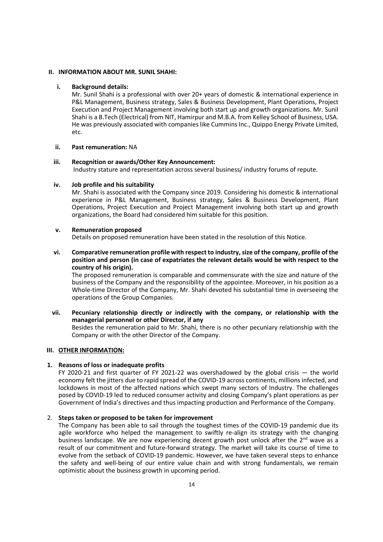#### II. INFORMATION ABOUT MR. SUNIL SHAHI:

#### i. Background details:

Mr. Sunil Shahi is a professional with over 20+ years of domestic & international experience in P&L Management, Business strategy, Sales & Business Development, Plant Operations, Project Execution and Project Management involving both start up and growth organizations. Mr. Sunil Shahi is a B.Tech (Electrical) from NIT, Hamirpur and M.B.A. from Kelley School of Business, USA. He was previously associated with companies like Cummins Inc., Quippo Energy Private Limited, etc.

#### ii. Past remuneration: NA

#### iii. Recognition or awards/Other Key Announcement:

Industry stature and representation across several business/ industry forums of repute.

#### iv. Job profile and his suitability

Mr. Shahi is associated with the Company since 2019. Considering his domestic & international experience in P&L Management, Business strategy, Sales & Business Development, Plant Operations, Project Execution and Project Management involving both start up and growth organizations, the Board had considered him suitable for this position.

#### v. Remuneration proposed

Details on proposed remuneration have been stated in the resolution of this Notice.

vi. Comparative remuneration profile with respect to industry, size of the company, profile of the position and person (in case of expatriates the relevant details would be with respect to the country of his origin).

The proposed remuneration is comparable and commensurate with the size and nature of the business of the Company and the responsibility of the appointee. Moreover, in his position as a Whole-time Director of the Company, Mr. Shahi devoted his substantial time in overseeing the operations of the Group Companies.

## vii. Pecuniary relationship directly or indirectly with the company, or relationship with the managerial personnel or other Director, if any

Besides the remuneration paid to Mr. Shahi, there is no other pecuniary relationship with the Company or with the other Director of the Company.

### III. OTHER INFORMATION:

## 1. Reasons of loss or inadequate profits

FY 2020-21 and first quarter of FY 2021-22 was overshadowed by the global crisis  $-$  the world economy felt the jitters due to rapid spread of the COVID-19 across continents, millions infected, and lockdowns in most of the affected nations which swept many sectors of Industry. The challenges posed by COVID-19 led to reduced consumer activity and closing Company's plant operations as per Government of India's directives and thus impacting production and Performance of the Company.

## 2. Steps taken or proposed to be taken for improvement

The Company has been able to sail through the toughest times of the COVID-19 pandemic due its agile workforce who helped the management to swiftly re-align its strategy with the changing business landscape. We are now experiencing decent growth post unlock after the  $2^{nd}$  wave as a result of our commitment and future-forward strategy. The market will take its course of time to evolve from the setback of COVID-19 pandemic. However, we have taken several steps to enhance the safety and well-being of our entire value chain and with strong fundamentals, we remain optimistic about the business growth in upcoming period.